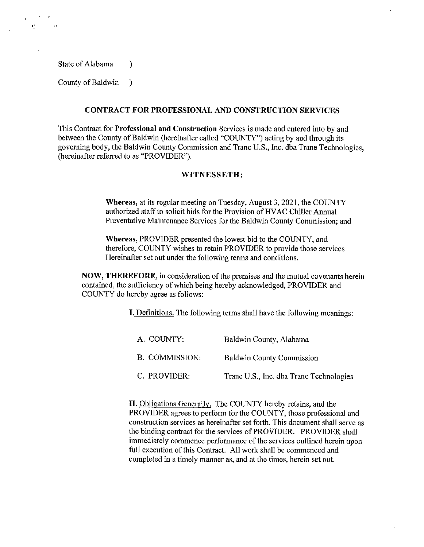State of Alabama (b)

"

County of Baldwin )

## **CONTRACT FOR PROFESSIONAL AND CONSTRUCTION SERVICES**

This Contract for **Professional and Construction** Services is made and entered into by and between the County of Baldwin (hereinafter called "COUNTY") acting by and through its governing body, the Baldwin County Commission and Trane U.S., Inc. dba Trane Technologies, (hereinafter referred to as "PROVIDER").

## **WITNESSETH:**

**Whereas,** at its regular meeting on Tuesday, August 3, 2021, the COUNTY authorized staff to solicit bids for the Provision of HVAC Chiller Annual Preventative Maintenance Services for the Baldwin County Commission; and

**Whereas,** PROVIDER presented the lowest bid to the COUNTY, and therefore, COUNTY wishes to retain PROVIDER to provide those services Hereinafter set out under the following terms and conditions.

**NOW, THEREFORE,** in consideration of the premises and the mutual covenants herein contained, the sufficiency of which being hereby acknowledged, PROVIDER and COUNTY do hereby agree as follows:

**I.** Definitions. The following terms shall have the following meanings:

| A. COUNTY:     | Baldwin County, Alabama                 |
|----------------|-----------------------------------------|
| B. COMMISSION: | <b>Baldwin County Commission</b>        |
| C. PROVIDER:   | Trane U.S., Inc. dba Trane Technologies |

**II.** Obligations Generally. The COUNTY hereby retains, and the PROVIDER agrees to perform for the COUNTY, those professional and construction services as hereinafter set forth. This docwnent shall serve as the binding contract for the services of PROVIDER. PROVIDER shall immediately commence performance of the services outlined herein upon full execution of this Contract. All work shall be commenced and completed in a timely manner as, and at the times, herein set out.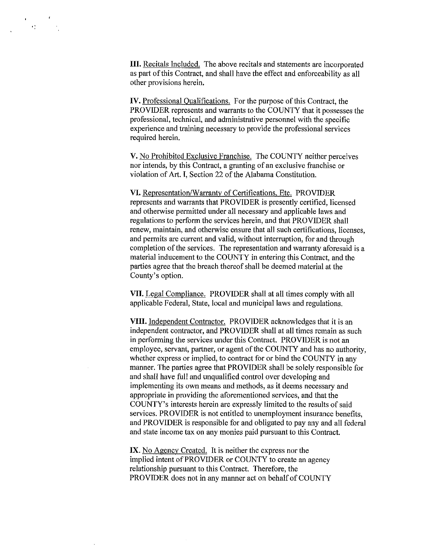**III.** Recitals Included. The above recitals and statements are incorporated as part of this Contract, and shall have the effect and enforceability as all other provisions herein.

 $\mathbf{H}^{\text{max}}_{\text{max}}$ 

IV. Professional Oualifications. For the purpose of this Contract, the PROVIDER represents and warrants to the COUNTY that it possesses the professional, technical, and administrative personnel with the specific experience and training necessary to provide the professional services required herein.

V. No Prohibited Exclusive Franchise. The COUNTY neither perceives nor intends, by this Contract, a granting of an exclusive franchise or violation of Art. I, Section 22 of the Alabama Constitution.

VI. Representation/Warranty of Certifications, Etc. PROVIDER represents and warrants that PROVIDER is presently certified, licensed and otherwise permitted under all necessary and applicable laws and regulations to perform the services herein, and that PROVIDER shall renew, maintain, and otherwise ensure that all such certifications, licenses, and permits are current and valid, without interruption, for and through completion of the services. The representation and warranty aforesaid is a material inducement to the COUNTY in entering this Contract, and the parties agree that the breach thereof shall be deemed material at the County's option.

VII. Legal Compliance. PROVIDER shall at all times comply with all applicable Federal, State, local and municipal laws and regulations.

**VIII.** Independent Contractor. PROVIDER acknowledges that it is an independent contractor, and PROVIDER shall at all times remain as such in performing the services under this Contract. PROVIDER is not an employee, servant, partner, or agent of the COUNTY and has no authority, whether express or implied, to contract for or bind the COUNTY in any manner. The parties agree that PROVIDER shall be solely responsible for and shall have full and unqualified control over developing and implementing its own means and methods, as it deems necessary and appropriate in providing the aforementioned services, and that the COUNTY's interests herein are expressly limited to the results of said services. PROVIDER is not entitled to unemployment insurance benefits, and PROVIDER is responsible for and obligated to pay any and all federal and state income tax on any monies paid pursuant to this Contract.

IX. No Agency Created. It is neither the express nor the implied intent of PROVIDER or COUNTY to create an agency relationship pursuant to this Contract. Therefore, the PROVIDER does not in any manner act on behalf of COUNTY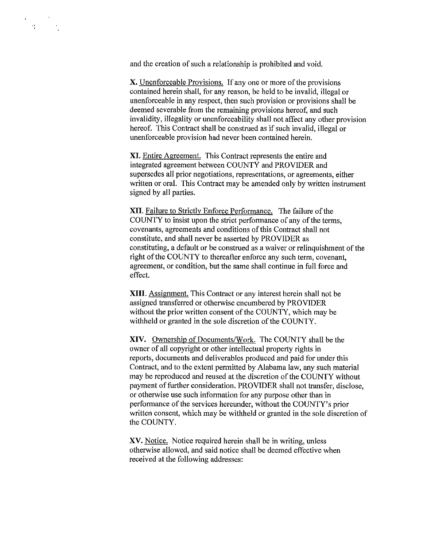and the creation of such a relationship is prohibited and void.

 $\langle \mathbf{e}_i^{\mathbf{e}} \rangle$  .

X. Unenforceable Provisions. If any one or more of the provisions contained herein shall, for any reason, be held to be invalid, illegal or unenforceable in any respect, then such provision or provisions shall be deemed severable from the remaining provisions hereof, and such invalidity, illegality or unenforceability shall not affect any other provision hereof. This Contract shall be construed as if such invalid, illegal or unenforceable provision had never been contained herein.

XI. Entire Agreement. This Contract represents the entire and integrated agreement between COUNTY and PROVIDER and supersedes all prior negotiations, representations, or agreements, either written or oral. This Contract may be amended only by written instrument signed by all parties.

XII. Failure to Strictly Enforce Performance. The failure of the COUNTY to insist upon the strict performance of any of the terms, covenants, agreements and conditions of this Contract shall not constitute, and shall never be asserted by PROVIDER as constituting, a default or be construed as a waiver or relinquishment of the right of the COUNTY to thereafter enforce any such term, covenant, agreement, or condition, but the same shall continue in full force and effect.

**XIII.** Assignment. This Contract or any interest herein shall not be assigned transferred or otherwise encumbered by PROVIDER without the prior written consent of the COUNTY, which may be withheld or granted in the sole discretion of the COUNTY.

**XIV.** Ownership of Documents/Work. The COUNTY shall be the owner of all copyright or other intellectual property rights in reports, documents and deliverables produced and paid for under this Contract, and to the extent permitted by Alabama law, any such material may be reproduced and reused at the discretion of the COUNTY without payment of further consideration. PROVIDER shall not transfer, disclose, or otherwise use such information for any purpose other than in performance of the services hereunder, without the COUNTY's prior written consent, which may be withheld or granted in the sole discretion of the COUNTY.

XV. Notice. Notice required herein shall be in writing, unless otherwise allowed, and said notice shall be deemed effective when received at the following addresses: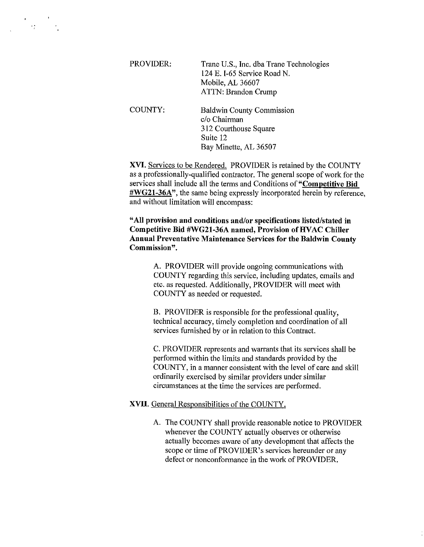| PROVIDER: | Trane U.S., Inc. dba Trane Technologies<br>124 E. I-65 Service Road N.<br>Mobile, AL 36607<br><b>ATTN: Brandon Crump</b> |
|-----------|--------------------------------------------------------------------------------------------------------------------------|
| COUNTY:   | <b>Baldwin County Commission</b><br>c/o Chairman<br>312 Courthouse Square<br>Suite 12<br>Bay Minette, AL 36507           |

 $\langle \hat{P}_{\vec{k}}^{\text{A}} \rangle$  .

**XVI.** Services to be Rendered. PROVIDER is retained by the COUNTY as a professionally-qualified contractor. The general scope of work for the services shall include all the terms and Conditions of **"Competitive Bid #WG21-36A",** the same being expressly incorporated herein by reference, and without limitation will encompass:

**"All provision and conditions and/or specifications listed/stated in Competitive Bid #WG21-36A named, Provision of HVAC Chiller Annual Preventative Maintenance Services for the Baldwin County Commission".** 

> A. PROVIDER will provide ongoing communications with COUNTY regarding this service, including updates, emails and etc. as requested. Additionally, PROVIDER will meet with COUNTY as needed or requested.

B. PROVIDER is responsible for the professional quality, technical accuracy, timely completion and coordination of all services furnished by or in relation to this Contract.

C. PROVIDER represents and warrants that its services shall be performed within the limits and standards provided by the COUNTY, in a manner consistent with the level of care and skill ordinarily exercised by similar providers under similar circumstances at the time the services are performed.

#### **XVII.** General Responsibilities of the COUNTY.

A. The COUNTY shall provide reasonable notice to PROVIDER whenever the COUNTY actually observes or otherwise actually becomes aware of any development that affects the scope or time of PROVIDER's services hereunder or any defect or nonconformance in the work of PROVIDER.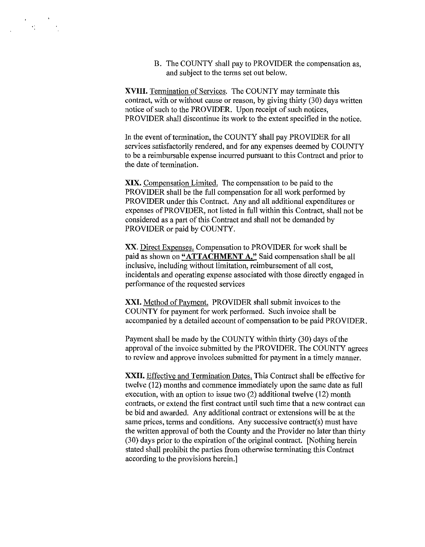B. The COUNTY shall pay to PROVIDER the compensation as, and subject to the terms set out below.

**XVIII.** Termination of Services. The COUNTY may terminate this contract, with or without cause or reason, by giving thirty (30) days written notice of such to the PROVIDER. Upon receipt of such notices, PROVIDER shall discontinue its work to the extent specified in the notice.

 $\mathbf{e}_{\mathrm{max}}$ 

In the event of termination, the COUNTY shall pay PROVIDER for all services satisfactorily rendered, and for any expenses deemed by COUNTY to be a reimbursable expense incurred pursuant to this Contract and prior to the date of termination.

**XIX.** Compensation Limited. The compensation to be paid to the PROVIDER shall be the full compensation for all work performed by PROVIDER under this Contract. Any and all additional expenditures or expenses of PROVIDER, not listed in full within this Contract, shall not be considered as a part of this Contract and shall not be demanded by PROVIDER or paid by COUNTY.

XX. Direct Expenses. Compensation to PROVIDER for work shall be paid as shown on **"ATTACHMENT** A." Said compensation shall be all inclusive, including without limitation, reimbursement of all cost, incidentals and operating expense associated with those directly engaged in performance of the requested services

**XXI.** Method of Payment. PROVIDER shall submit invoices to the COUNTY for payment for work performed. Such invoice shall be accompanied by a detailed account of compensation to be paid PROVIDER.

Payment shall be made by the COUNTY within thirty (30) days of the approval of the invoice submitted by the PROVIDER. The COUNTY agrees to review and approve invoices submitted for payment in a timely manner.

**XXII.** Effective and Termination Dates. This Contract shall be effective for twelve (12) months and commence immediately upon the same date as full execution, with an option to issue two (2) additional twelve (12) month contracts, or extend the first contract until such time that a new contract can be bid and awarded. Any additional contract or extensions will be at the same prices, terms and conditions. Any successive contract(s) must have the written approval of both the County and the Provider no later than thirty (30) days prior to the expiration of the original contract. [Nothing herein stated shall prohibit the parties from otherwise terminating this Contract according to the provisions herein.]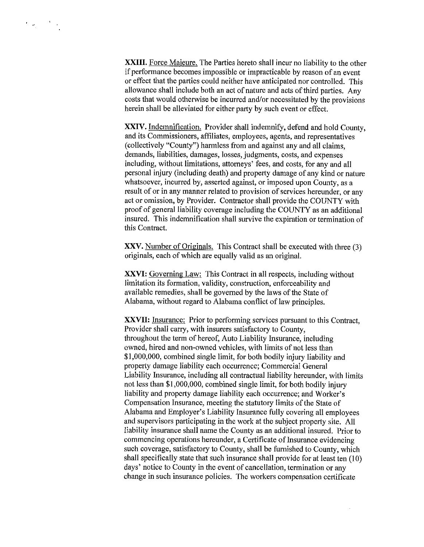**XXIII.** Force Majeure. The Parties hereto shall incur no liability to the other if performance becomes impossible or impracticable by reason of an event or effect that the parties could neither have anticipated nor controlled. This allowance shall include both an act of nature and acts of third parties. Any costs that would otherwise be incurred and/or necessitated by the provisions herein shall be alleviated for either party by such event or effect.

**XXIV.** Indemnification. Provider shall indemnify, defend and hold County, and its Commissioners, affiliates, employees, agents, and representatives (collectively "County") harmless from and against any and all claims, demands, liabilities, damages, losses, judgments, costs, and expenses including, without limitations, attorneys' fees, and costs, for any and all personal injury (including death) and property damage of any kind or nature whatsoever, incurred by, asserted against, or imposed upon County, as a result of or in any manner related to provision of services hereunder, or any act or omission, by Provider. Contractor shall provide the COUNTY with proof of general liability coverage including the COUNTY as an additional insured. This indemnification shall survive the expiration or termination of this Contract.

XXV. Number of Originals. This Contract shall be executed with three (3) originals, each of which are equally valid as an original.

**XXVI:** Governing Law: This Contract in all respects, including without limitation its formation, validity, construction, enforceability and available remedies, shall be governed by the laws of the State of Alabama, without regard to Alabama conflict of law principles.

**XXVII:** Insurance: Prior to performing services pursuant to this Contract, Provider shall carry, with insurers satisfactory to County, throughout the term of hereof, Auto Liability Insurance, including owned, hired and non-owned vehicles, with limits of not less than \$1,000,000, combined single limit, for both bodily injury liability and property damage liability each occurrence; Commercial General Liability Insurance, including all contractual liability hereunder, with limits not less than \$1,000,000, combined single limit, for both bodily injury liability and property damage liability each occurrence; and Worker's Compensation Insurance, meeting the statutory limits of the State of Alabama and Employer's Liability Insurance fully covering all employees and supervisors participating in the work at the subject property site. All liability insurance shall name the County as an additional insured. Prior to commencing operations hereunder, a Certificate of Insurance evidencing such coverage, satisfactory to County, shall be furnished to County, which shall specifically state that such insurance shall provide for at least ten (10) days' notice to County in the event of cancellation, termination or any change in such insurance policies. The workers compensation certificate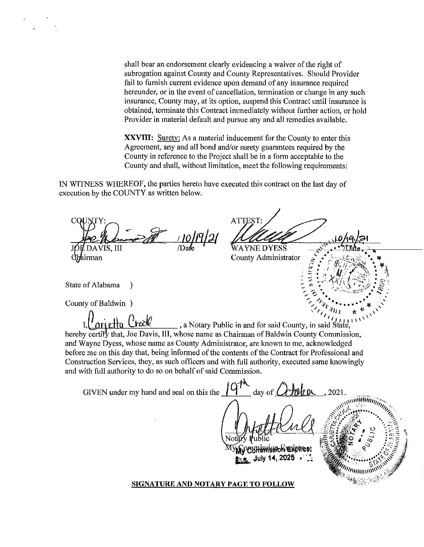shall bear an endorsement clearly evidencing a waiver of the right of subrogation against County and County Representatives. Should Provider fail to furnish current evidence upon demand of any insurance required hereunder, or in the event of cancellation, termination or change in any such insurance, County may, at its option, suspend this Contract until insurance is obtained, terminate this Contract immediately without further action, or hold Provider in material default and pursue any and all remedies available.

**XXVIII:** Surety: As a material inducement for the County to enter this Agreement, any and all bond and/or surety guarantees required by the County in reference to the Project shall be in a form acceptable to the County and shall, without limitation, meet the following requirements:

IN WITNESS WHEREOF, the parties hereto have executed this contract on the last day of execution by the COUNTY as written below.

 $\alpha$ VIS, III hirman

€

ATTEST. WA YNE DYESS

SIBUILTY

County Administrator

State of Alabama

County of Baldwin )

a Notary Public in and for said County, in said State, hereby certify that, Joe Davis, III, whose name as Chairman of Baldwin County Commission, and Wayne Dyess, whose name as County Administrator, are known to me, acknowledged before me on this day that, being informed of the contents of the Contract for Professional and Construction Services, they, as such officers and with full authority, executed same knowingly and with full authority to do so on behalf of said Commission.

GIVEN under my hand and seal on this the  $\Box$ day of  $\mathcal L$ 2021

ffissioh haviores!

July 14, 2025

 $\widehat{\text{minmin}}$ 

**SIGNATURE AND NOTARY PAGE TO FOLLOW**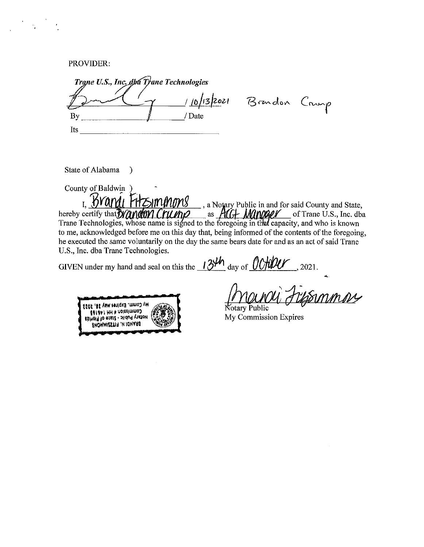PROVIDER:

Trane U.S., Inc. dbu Trane Technologies 10/13/2021 Brandon Crump / Date By Its

State of Alabama  $\rightarrow$ 

County of Baldwin ) I. Brand FHZ mmmmg , a Notary Public in and for said County and State, hereby certify that **Wandom Crump** as *ACA Mander* of Trane U.S., Inc. dba<br>Trane Technologies, whose name is signed to the foregoing in that capacity, and who is known to me, acknowledged before me on this day that, being informed of the contents of the foregoing, he executed the same voluntarily on the day the same bears date for and as an act of said Trane U.S., Inc. dba Trane Technologies.

GIVEN under my hand and seal on this the  $134<sup>h</sup>$  day of  $0000<sup>h</sup>$ , 2021.

Ay Comm. Expires May 24, 2023 Commission # HH 146168 **Ashield to afase - sildual vistales** ENOMMISSTIF IN IOUASIA

Symmos Notary Public

My Commission Expires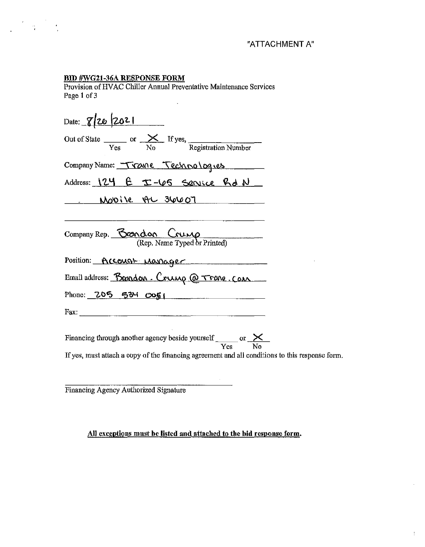$\bar{z}$ 

÷

# BID #WG21-36A RESPONSE FORM

Provision of HVAC Chiller Annual Preventative Maintenance Services Page 1 of 3

 $\ddot{\phantom{a}}$ 

| Date: $8/20/2021$                                                                                          |  |  |  |  |
|------------------------------------------------------------------------------------------------------------|--|--|--|--|
| Out of State $\frac{\times}{\text{Yes}}$ or $\frac{\times}{\text{No}}$ If yes, Registration Number         |  |  |  |  |
| Company Name: Trane Technologies                                                                           |  |  |  |  |
| Address: 124 E I-65 Senice Rd N                                                                            |  |  |  |  |
| <u>Unovise AL 36607</u>                                                                                    |  |  |  |  |
| Company Rep. $\frac{\beta_{\text{COM}}\alpha_{\text{OM}}}{(\text{Rep. Name Typed or Printed})}$            |  |  |  |  |
| Position: Account Manager                                                                                  |  |  |  |  |
| Email address: Brandon. Crump @ Trane. Com                                                                 |  |  |  |  |
| Phone: $205$ 534 $0051$                                                                                    |  |  |  |  |
|                                                                                                            |  |  |  |  |
| Financing through another agency beside yourself $\frac{\times}{\text{Yes}}$ or $\frac{\times}{\text{No}}$ |  |  |  |  |
| If yes, must attach a copy of the financing agreement and all conditions to this response form.            |  |  |  |  |

Financing Agency Authorized Signature

All exceptions must be listed and attached to the bid response form.